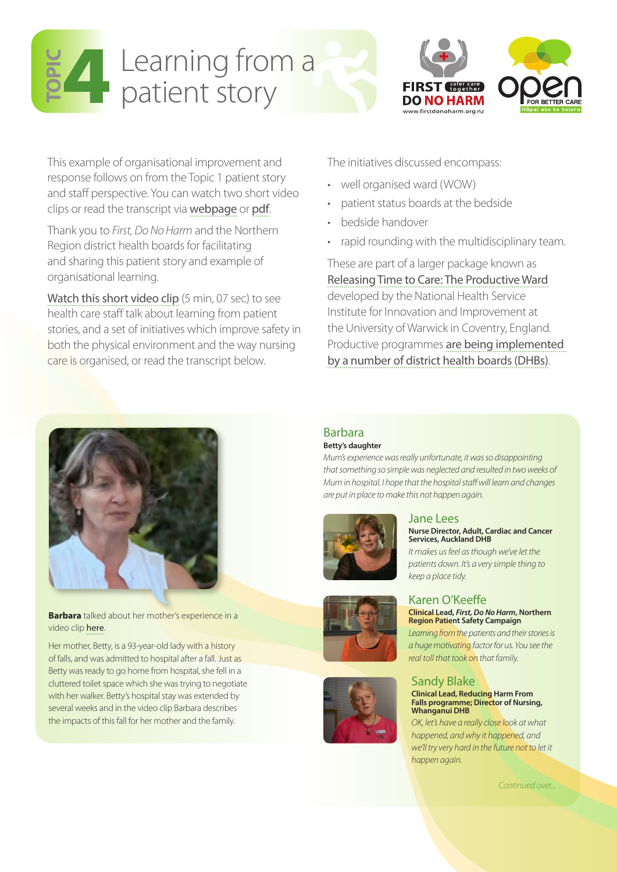



This example of organisational improvement and response follows on from the Topic 1 patient story and staff perspective. You can watch two short video clips or read the transcript via [webpage](http://www.hqsc.govt.nz/our-programmes/reducing-harm-from-falls/10-topics/topic-1/patient-story/) or [pdf](http://www.hqsc.govt.nz/assets/Falls/10-Topics/topic1-patient-story-staff-perspective.pdf).

Thank you to *First, Do No Harm* and the Northern Region district health boards for facilitating and sharing this patient story and example of organisational learning.

[Watch this short video clip](http://www.hqsc.govt.nz/our-programmes/reducing-harm-from-falls/10-topics/topic-4/learning-from-a-patient-story/) (5 min, 07 sec) to see health care staff talk about learning from patient stories, and a set of initiatives which improve safety in both the physical environment and the way nursing care is organised, or read the transcript below.

The initiatives discussed encompass:

- • well organised ward (WOW)
- patient status boards at the bedside
- bedside handover
- rapid rounding with the multidisciplinary team.

These are part of a larger package known as [Releasing Time to Care: The Productive Ward](http://www.institute.nhs.uk/quality_and_value/productivity_series/productive_ward.html) developed by the National Health Service Institute for Innovation and Improvement at the University of Warwick in Coventry, England. Productive programmes [are being implemented](http://www.hiirc.org.nz/section/13415/ward/)  [by a number of district health boards \(DHBs\)](http://www.hiirc.org.nz/section/13415/ward/).



**Barbara** talked about her mother's experience in a video clip [here](http://www.hqsc.govt.nz/our-programmes/reducing-harm-from-falls/10-topics/topic-1/patient-story/).

Her mother, Betty, is a 93-year-old lady with a history of falls, and was admitted to hospital after a fall. Just as Betty was ready to go home from hospital, she fell in a cluttered toilet space which she was trying to negotiate with her walker. Betty's hospital stay was extended by several weeks and in the video clip Barbara describes the impacts of this fall for her mother and the family.

## Barbara

#### **Betty's daughter**

*Mum's experience was really unfortunate, it was so disappointing that something so simple was neglected and resulted in two weeks of Mum in hospital. I hope that the hospital staff will learn and changes are put in place to make this not happen again.* 



#### Jane Lees **Nurse Director, Adult, Cardiac and Cancer Services, Auckland DHB**

*It makes us feel as though we've let the patients down. It's a very simple thing to keep a place tidy.*

# Karen O'Keeffe

#### **Clinical Lead,** *First, Do No Harm***, Northern Region Patient Safety Campaign**

*Learning from the patients and their stories is a huge motivating factor for us. You see the real toll that took on that family.* 

# Sandy Blake **Clinical Lead, Reducing Harm From**

#### **Falls programme; Director of Nursing, Whanganui DHB** *OK, let's have a really close look at what*

*happened, and why it happened, and we'll try very hard in the future not to let it happen again.*

*Continued over...*